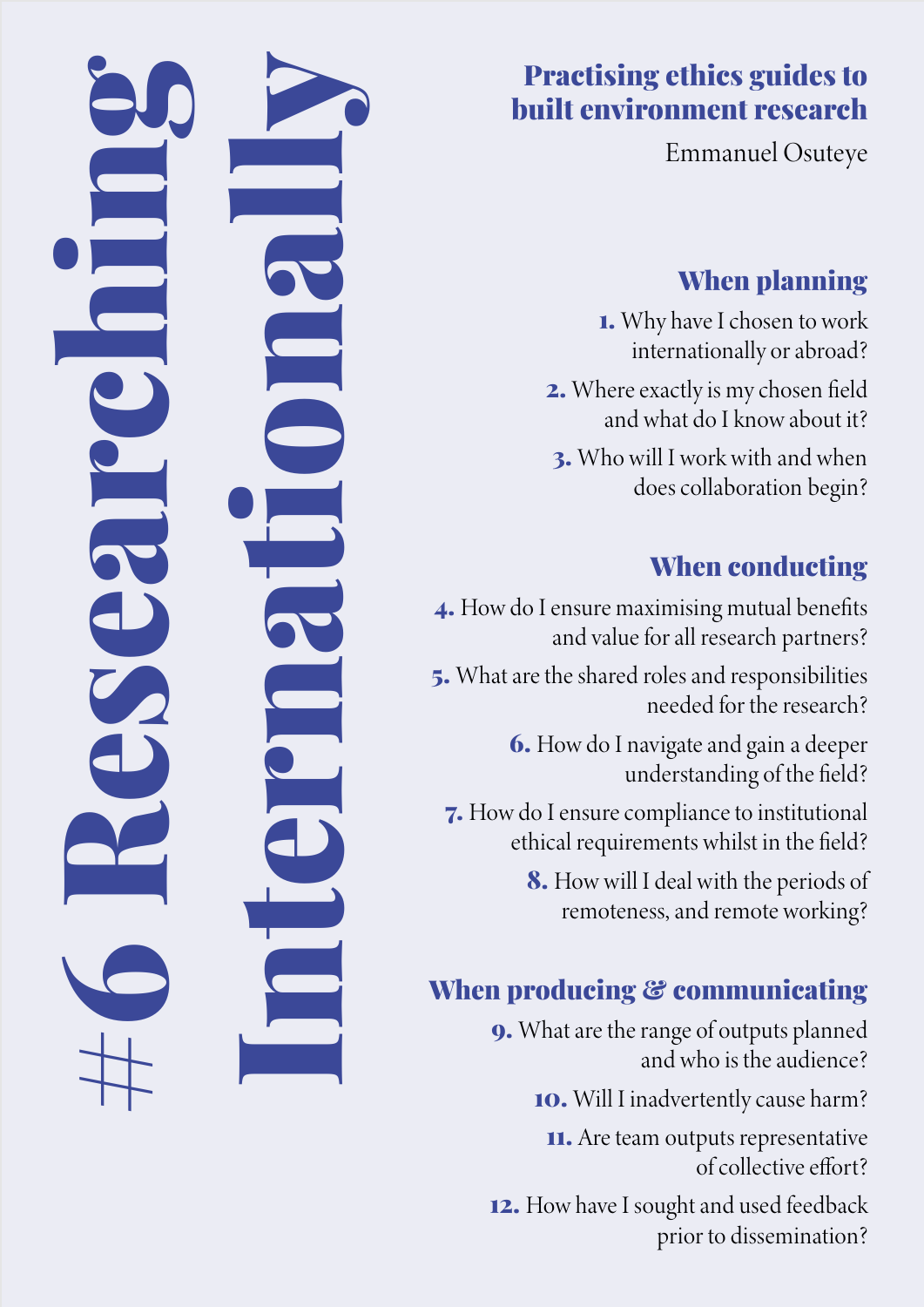## Practising ethics guides to built environment research

Emmanuel Osuteye

## When planning

1. Why have I chosen to work internationally or abroad?

2. Where exactly is my chosen field and what do I know about it?

3. Who will I work with and when does collaboration begin?

## When conducting

4. How do I ensure maximising mutual benefits and value for all research partners?

#6 Researching

Internationally

5. What are the shared roles and responsibilities needed for the research?

> 6. How do I navigate and gain a deeper understanding of the field?

7. How do I ensure compliance to institutional ethical requirements whilst in the field?

> 8. How will I deal with the periods of remoteness, and remote working?

## When producing & communicating

9. What are the range of outputs planned and who is the audience?

10. Will I inadvertently cause harm?

11. Are team outputs representative of collective effort?

12. How have I sought and used feedback prior to dissemination?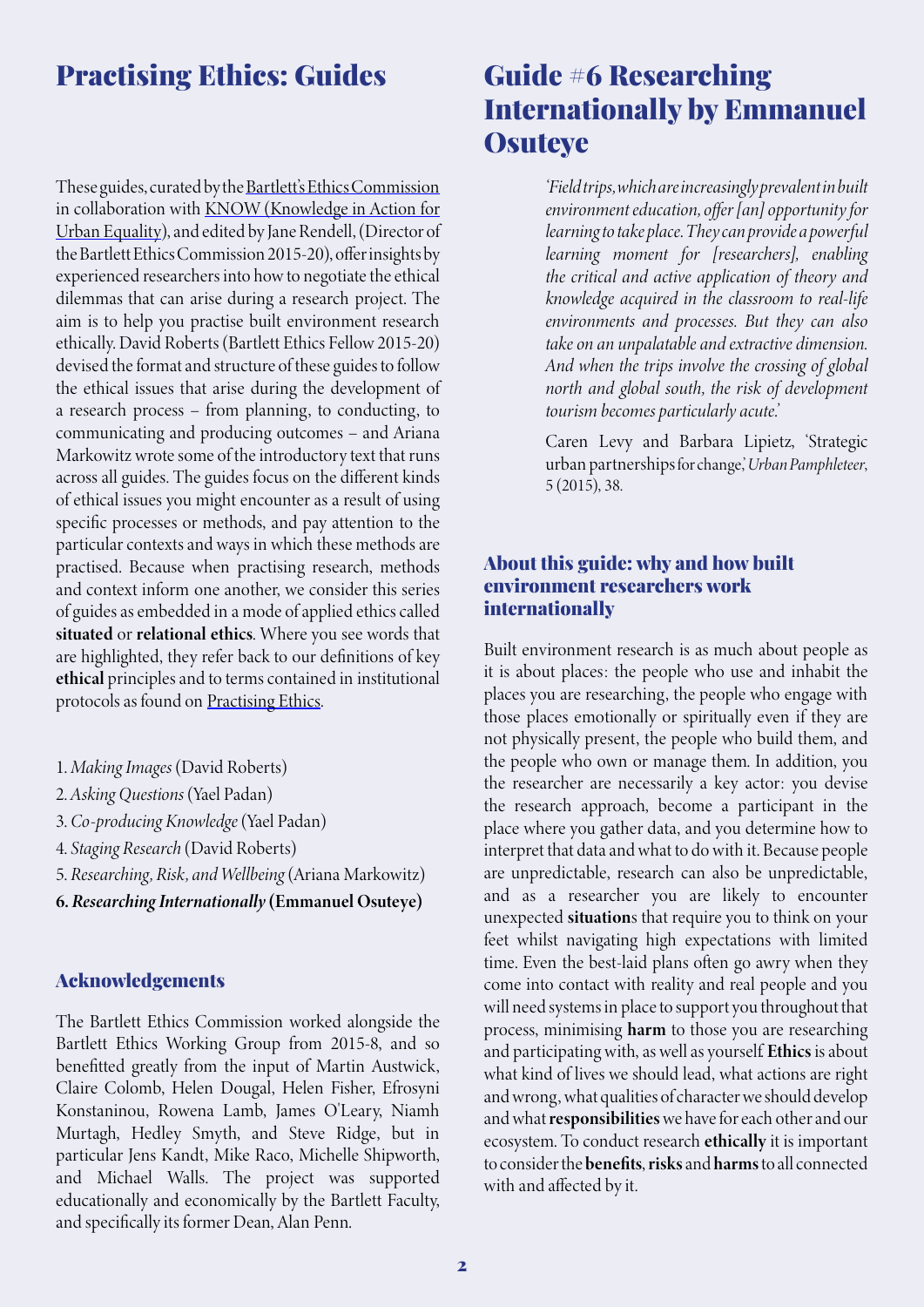### Practising Ethics: Guides

These guides, curated by the **Bartlett's Ethics Commission** in collaboration with KNOW (Knowledge in Action for Urban Equality), and edited by Jane Rendell, (Director of the Bartlett Ethics Commission 2015-20), offer insights by experienced researchers into how to negotiate the ethical dilemmas that can arise during a research project. The aim is to help you practise built environment research ethically. David Roberts (Bartlett Ethics Fellow 2015-20) devised the format and structure of these guides to follow the ethical issues that arise during the development of a research process – from planning, to conducting, to communicating and producing outcomes – and Ariana Markowitz wrote some of the introductory text that runs across all guides. The guides focus on the different kinds of ethical issues you might encounter as a result of using specific processes or methods, and pay attention to the particular contexts and ways in which these methods are practised. Because when practising research, methods and context inform one another, we consider this series of guides as embedded in a mode of applied ethics called situated or relational ethics. Where you see words that are highlighted, they refer back to our definitions of key ethical principles and to terms contained in institutional protocols as found on [Practising Ethics.](http://practisingethics.org)

- 1. *Making Images* (David Roberts)
- 2. *Asking Questions* (Yael Padan)
- 3. *Co-producing Knowledge* (Yael Padan)
- 4. *Staging Research* (David Roberts)
- 5. *Researching, Risk, and Wellbeing* (Ariana Markowitz)
- 6. *Researching Internationally* (Emmanuel Osuteye)

#### Acknowledgements

The Bartlett Ethics Commission worked alongside the Bartlett Ethics Working Group from 2015-8, and so benefitted greatly from the input of Martin Austwick, Claire Colomb, Helen Dougal, Helen Fisher, Efrosyni Konstaninou, Rowena Lamb, James O'Leary, Niamh Murtagh, Hedley Smyth, and Steve Ridge, but in particular Jens Kandt, Mike Raco, Michelle Shipworth, and Michael Walls. The project was supported educationally and economically by the Bartlett Faculty, and specifically its former Dean, Alan Penn.

## Guide #6 Researching Internationally by Emmanuel **Osuteye**

*'Field trips, which are increasingly prevalent in built environment education, offer [an] opportunity for learning to take place. They can provide a powerful learning moment for [researchers], enabling the critical and active application of theory and knowledge acquired in the classroom to real-life environments and processes. But they can also take on an unpalatable and extractive dimension. And when the trips involve the crossing of global north and global south, the risk of development tourism becomes particularly acute.'* 

Caren Levy and Barbara Lipietz, 'Strategic urban partnerships for change,' *Urban Pamphleteer*, 5 (2015), 38.

#### About this guide: why and how built environment researchers work internationally

Built environment research is as much about people as it is about places: the people who use and inhabit the places you are researching, the people who engage with those places emotionally or spiritually even if they are not physically present, the people who build them, and the people who own or manage them. In addition, you the researcher are necessarily a key actor: you devise the research approach, become a participant in the place where you gather data, and you determine how to interpret that data and what to do with it. Because people are unpredictable, research can also be unpredictable, and as a researcher you are likely to encounter unexpected situations that require you to think on your feet whilst navigating high expectations with limited time. Even the best-laid plans often go awry when they come into contact with reality and real people and you will need systems in place to support you throughout that process, minimising harm to those you are researching and participating with, as well as yourself. Ethics is about what kind of lives we should lead, what actions are right and wrong, what qualities of character we should develop and what responsibilities we have for each other and our ecosystem. To conduct research ethically it is important to consider the benefits, risks and harms to all connected with and affected by it.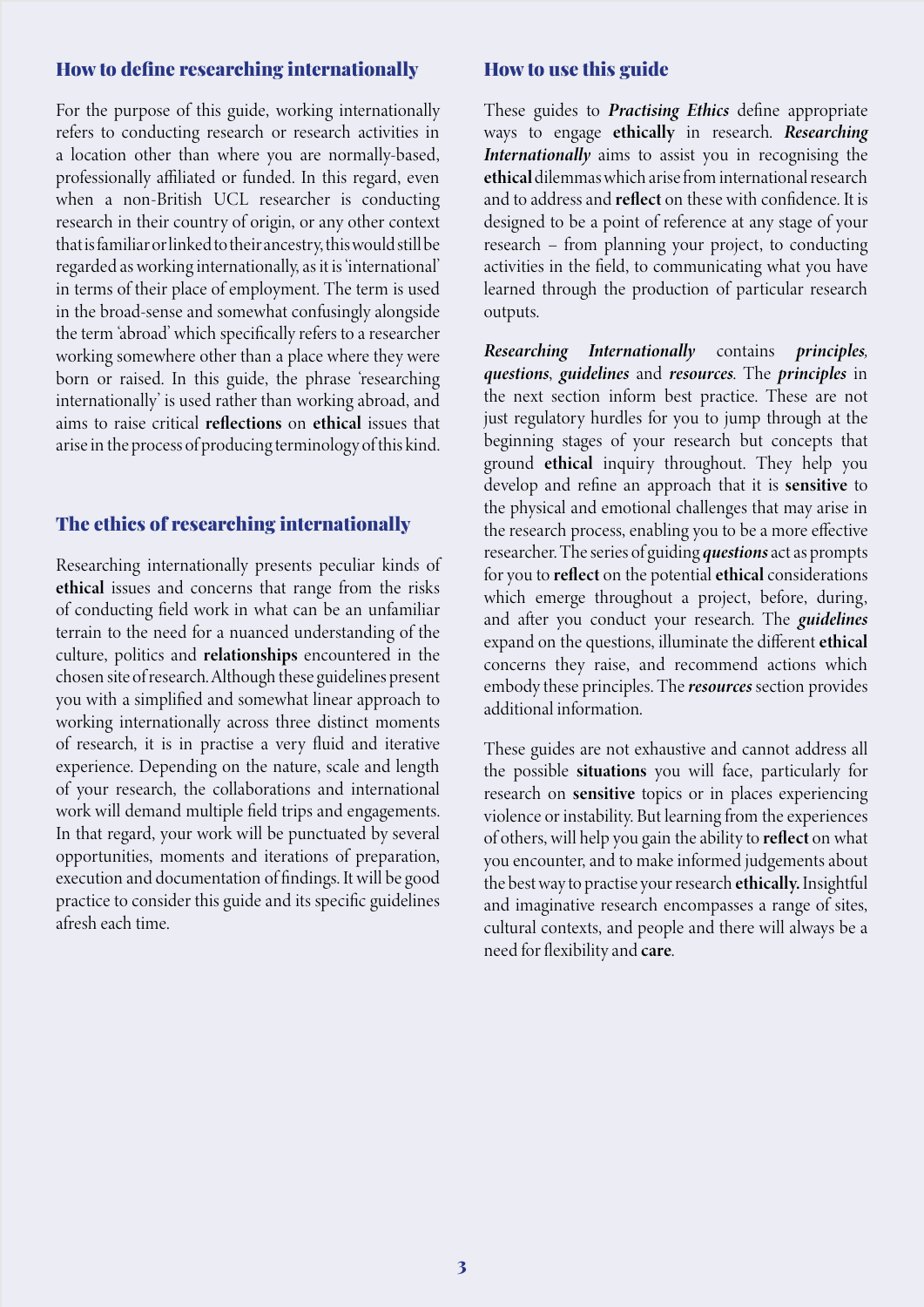### How to define researching internationally

For the purpose of this guide, working internationally refers to conducting research or research activities in a location other than where you are normally-based, professionally affiliated or funded. In this regard, even when a non-British UCL researcher is conducting research in their country of origin, or any other context that is familiar or linked to their ancestry, this would still be regarded as working internationally, as it is 'international' in terms of their place of employment. The term is used in the broad-sense and somewhat confusingly alongside the term 'abroad' which specifically refers to a researcher working somewhere other than a place where they were born or raised. In this guide, the phrase 'researching internationally' is used rather than working abroad, and aims to raise critical reflections on ethical issues that arise in the process of producing terminology of this kind.

### The ethics of researching internationally

Researching internationally presents peculiar kinds of ethical issues and concerns that range from the risks of conducting field work in what can be an unfamiliar terrain to the need for a nuanced understanding of the culture, politics and relationships encountered in the chosen site of research. Although these guidelines present you with a simplified and somewhat linear approach to working internationally across three distinct moments of research, it is in practise a very fluid and iterative experience. Depending on the nature, scale and length of your research, the collaborations and international work will demand multiple field trips and engagements. In that regard, your work will be punctuated by several opportunities, moments and iterations of preparation, execution and documentation of findings. It will be good practice to consider this guide and its specific guidelines afresh each time.

### How to use this guide

These guides to *Practising Ethics* define appropriate ways to engage ethically in research. *Researching Internationally* aims to assist you in recognising the ethical dilemmas which arise from international research and to address and reflect on these with confidence. It is designed to be a point of reference at any stage of your research – from planning your project, to conducting activities in the field, to communicating what you have learned through the production of particular research outputs.

*Researching Internationally* contains *principles, questions*, *guidelines* and *resources*. The *principles* in the next section inform best practice. These are not just regulatory hurdles for you to jump through at the beginning stages of your research but concepts that ground ethical inquiry throughout. They help you develop and refine an approach that it is sensitive to the physical and emotional challenges that may arise in the research process, enabling you to be a more effective researcher. The series of guiding *questions* act as prompts for you to reflect on the potential ethical considerations which emerge throughout a project, before, during, and after you conduct your research. The *guidelines* expand on the questions, illuminate the different ethical concerns they raise, and recommend actions which embody these principles. The *resources* section provides additional information.

These guides are not exhaustive and cannot address all the possible situations you will face, particularly for research on sensitive topics or in places experiencing violence or instability. But learning from the experiences of others, will help you gain the ability to reflect on what you encounter, and to make informed judgements about the best way to practise your research ethically. Insightful and imaginative research encompasses a range of sites, cultural contexts, and people and there will always be a need for flexibility and care.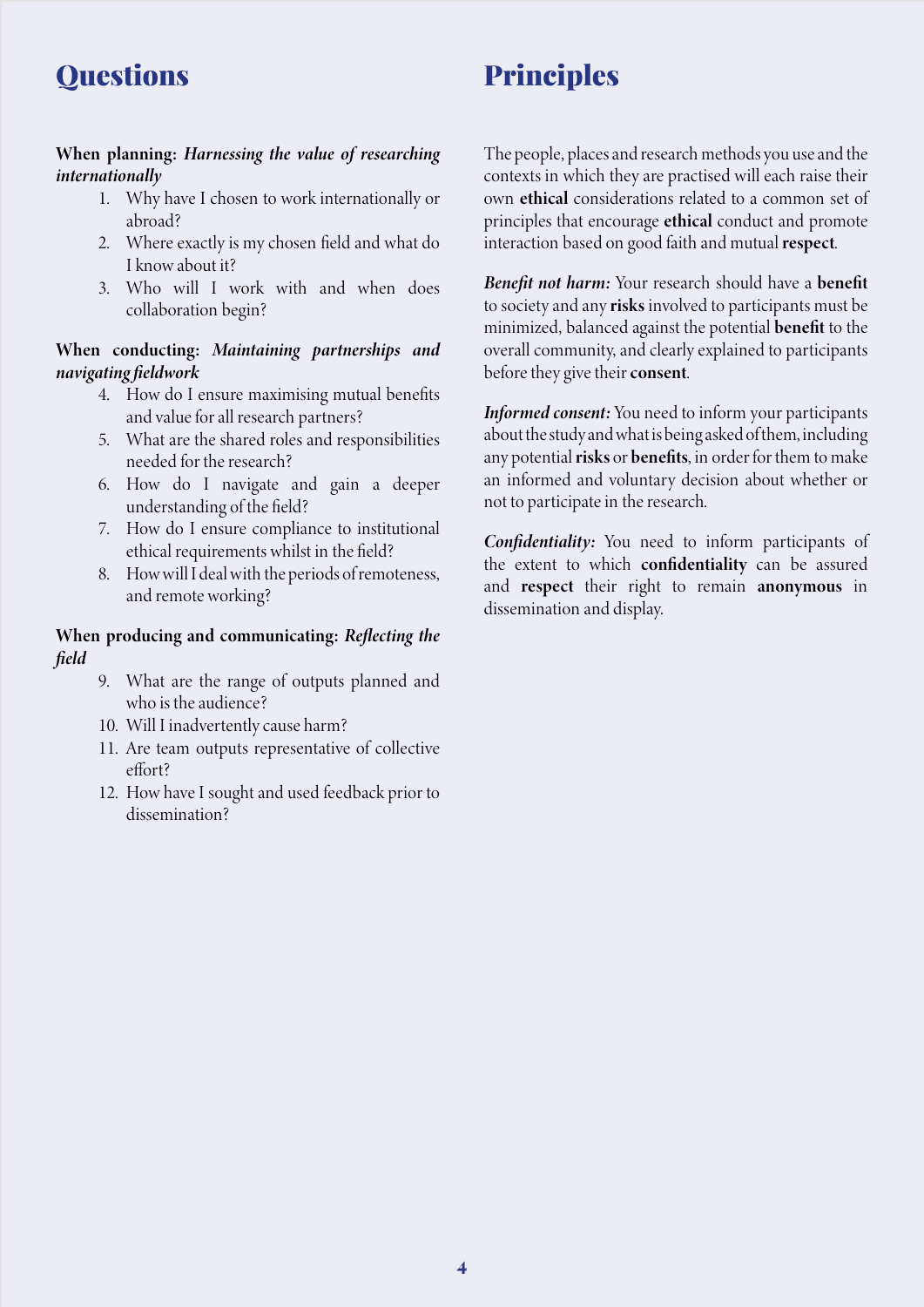## **Questions**

# Principles

### When planning: *Harnessing the value of researching internationally*

- 1. Why have I chosen to work internationally or abroad?
- 2. Where exactly is my chosen field and what do I know about it?
- 3. Who will I work with and when does collaboration begin?

### When conducting: *Maintaining partnerships and navigating fieldwork*

- 4. How do I ensure maximising mutual benefits and value for all research partners?
- 5. What are the shared roles and responsibilities needed for the research?
- 6. How do I navigate and gain a deeper understanding of the field?
- 7. How do I ensure compliance to institutional ethical requirements whilst in the field?
- 8. How will I deal with the periods of remoteness, and remote working?

### When producing and communicating: *Reflecting the field*

- 9. What are the range of outputs planned and who is the audience?
- 10. Will I inadvertently cause harm?
- 11. Are team outputs representative of collective effort?
- 12. How have I sought and used feedback prior to dissemination?

The people, places and research methods you use and the contexts in which they are practised will each raise their own ethical considerations related to a common set of principles that encourage ethical conduct and promote interaction based on good faith and mutual respect.

*Benefit not harm:* Your research should have a benefit to society and any risks involved to participants must be minimized, balanced against the potential benefit to the overall community, and clearly explained to participants before they give their consent.

*Informed consent:* You need to inform your participants about the study and what is being asked of them, including any potential risks or benefits, in order for them to make an informed and voluntary decision about whether or not to participate in the research.

*Confidentiality:* You need to inform participants of the extent to which confidentiality can be assured and respect their right to remain anonymous in dissemination and display.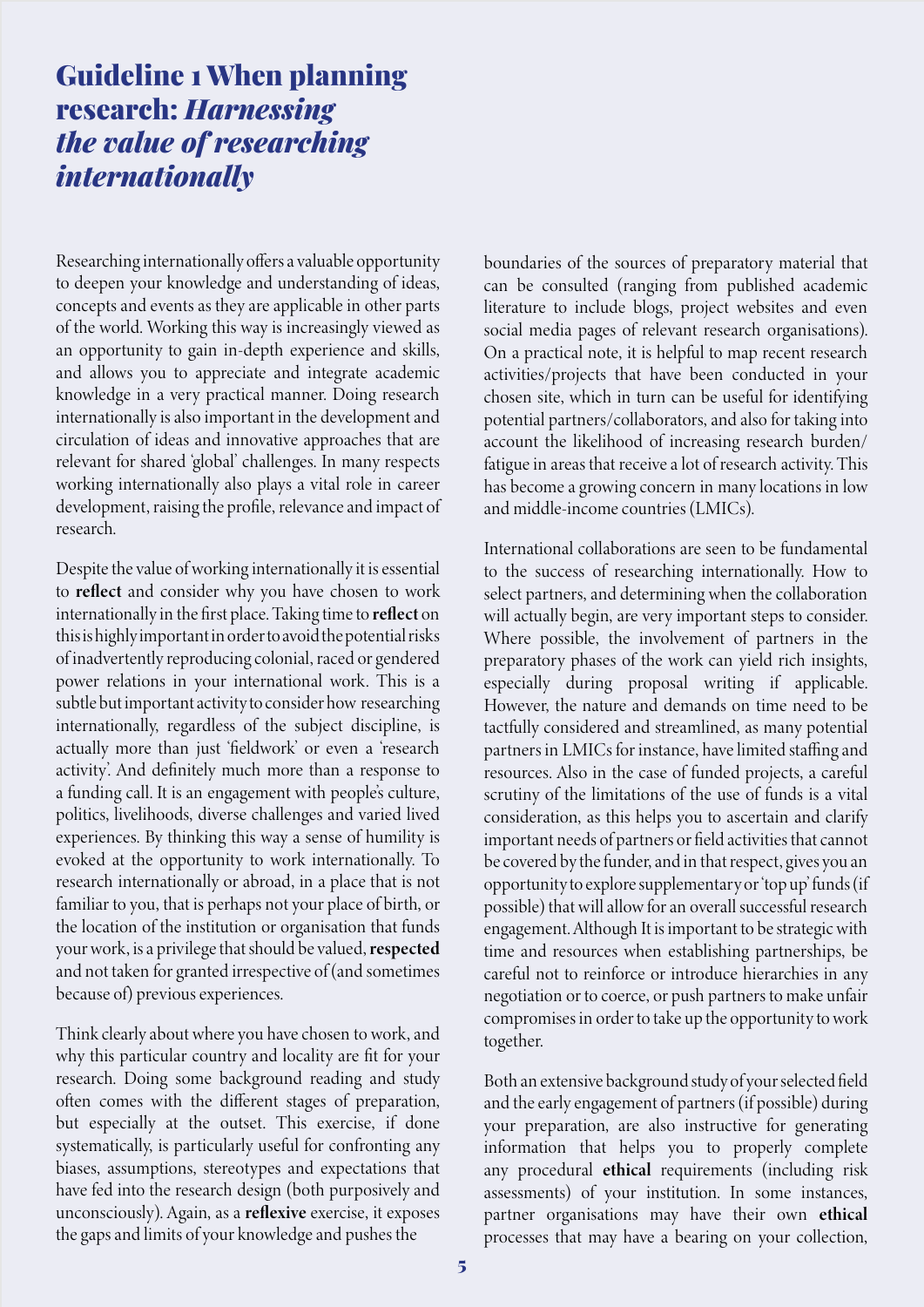## Guideline 1 When planning research: *Harnessing the value of researching internationally*

Researching internationally offers a valuable opportunity to deepen your knowledge and understanding of ideas, concepts and events as they are applicable in other parts of the world. Working this way is increasingly viewed as an opportunity to gain in-depth experience and skills, and allows you to appreciate and integrate academic knowledge in a very practical manner. Doing research internationally is also important in the development and circulation of ideas and innovative approaches that are relevant for shared 'global' challenges. In many respects working internationally also plays a vital role in career development, raising the profile, relevance and impact of research.

Despite the value of working internationally it is essential to reflect and consider why you have chosen to work internationally in the first place. Taking time to reflect on this is highly important in order to avoid the potential risks of inadvertently reproducing colonial, raced or gendered power relations in your international work. This is a subtle but important activity to consider how researching internationally, regardless of the subject discipline, is actually more than just 'fieldwork' or even a 'research activity'. And definitely much more than a response to a funding call. It is an engagement with people's culture, politics, livelihoods, diverse challenges and varied lived experiences. By thinking this way a sense of humility is evoked at the opportunity to work internationally. To research internationally or abroad, in a place that is not familiar to you, that is perhaps not your place of birth, or the location of the institution or organisation that funds your work, is a privilege that should be valued, respected and not taken for granted irrespective of (and sometimes because of) previous experiences.

Think clearly about where you have chosen to work, and why this particular country and locality are fit for your research. Doing some background reading and study often comes with the different stages of preparation, but especially at the outset. This exercise, if done systematically, is particularly useful for confronting any biases, assumptions, stereotypes and expectations that have fed into the research design (both purposively and unconsciously). Again, as a reflexive exercise, it exposes the gaps and limits of your knowledge and pushes the

boundaries of the sources of preparatory material that can be consulted (ranging from published academic literature to include blogs, project websites and even social media pages of relevant research organisations). On a practical note, it is helpful to map recent research activities/projects that have been conducted in your chosen site, which in turn can be useful for identifying potential partners/collaborators, and also for taking into account the likelihood of increasing research burden/ fatigue in areas that receive a lot of research activity. This has become a growing concern in many locations in low and middle-income countries (LMICs).

International collaborations are seen to be fundamental to the success of researching internationally. How to select partners, and determining when the collaboration will actually begin, are very important steps to consider. Where possible, the involvement of partners in the preparatory phases of the work can yield rich insights, especially during proposal writing if applicable. However, the nature and demands on time need to be tactfully considered and streamlined, as many potential partners in LMICs for instance, have limited staffing and resources. Also in the case of funded projects, a careful scrutiny of the limitations of the use of funds is a vital consideration, as this helps you to ascertain and clarify important needs of partners or field activities that cannot be covered by the funder, and in that respect, gives you an opportunity to explore supplementary or 'top up' funds (if possible) that will allow for an overall successful research engagement. Although It is important to be strategic with time and resources when establishing partnerships, be careful not to reinforce or introduce hierarchies in any negotiation or to coerce, or push partners to make unfair compromises in order to take up the opportunity to work together.

Both an extensive background study of your selected field and the early engagement of partners (if possible) during your preparation, are also instructive for generating information that helps you to properly complete any procedural ethical requirements (including risk assessments) of your institution. In some instances, partner organisations may have their own ethical processes that may have a bearing on your collection,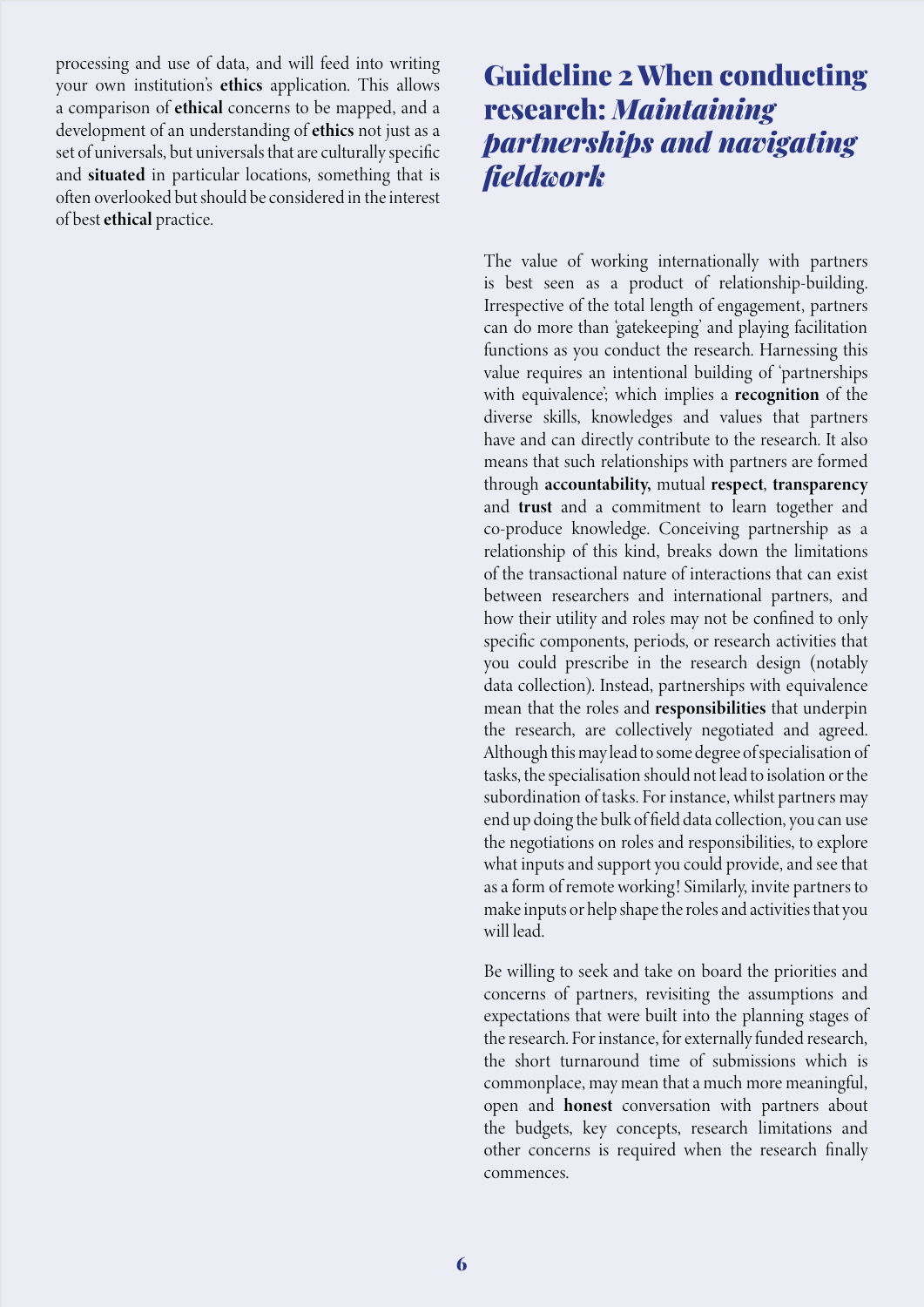processing and use of data, and will feed into writing your own institution's ethics application. This allows a comparison of ethical concerns to be mapped, and a development of an understanding of ethics not just as a set of universals, but universals that are culturally specific and situated in particular locations, something that is often overlooked but should be considered in the interest of best ethical practice.

## Guideline 2 When conducting research: *Maintaining partnerships and navigating fieldwork*

The value of working internationally with partners is best seen as a product of relationship-building. Irrespective of the total length of engagement, partners can do more than 'gatekeeping' and playing facilitation functions as you conduct the research. Harnessing this value requires an intentional building of 'partnerships with equivalence'; which implies a recognition of the diverse skills, knowledges and values that partners have and can directly contribute to the research. It also means that such relationships with partners are formed through accountability, mutual respect, transparency and trust and a commitment to learn together and co-produce knowledge. Conceiving partnership as a relationship of this kind, breaks down the limitations of the transactional nature of interactions that can exist between researchers and international partners, and how their utility and roles may not be confined to only specific components, periods, or research activities that you could prescribe in the research design (notably data collection). Instead, partnerships with equivalence mean that the roles and responsibilities that underpin the research, are collectively negotiated and agreed. Although this may lead to some degree of specialisation of tasks, the specialisation should not lead to isolation or the subordination of tasks. For instance, whilst partners may end up doing the bulk of field data collection, you can use the negotiations on roles and responsibilities, to explore what inputs and support you could provide, and see that as a form of remote working! Similarly, invite partners to make inputs or help shape the roles and activities that you will lead.

Be willing to seek and take on board the priorities and concerns of partners, revisiting the assumptions and expectations that were built into the planning stages of the research. For instance, for externally funded research, the short turnaround time of submissions which is commonplace, may mean that a much more meaningful, open and honest conversation with partners about the budgets, key concepts, research limitations and other concerns is required when the research finally commences.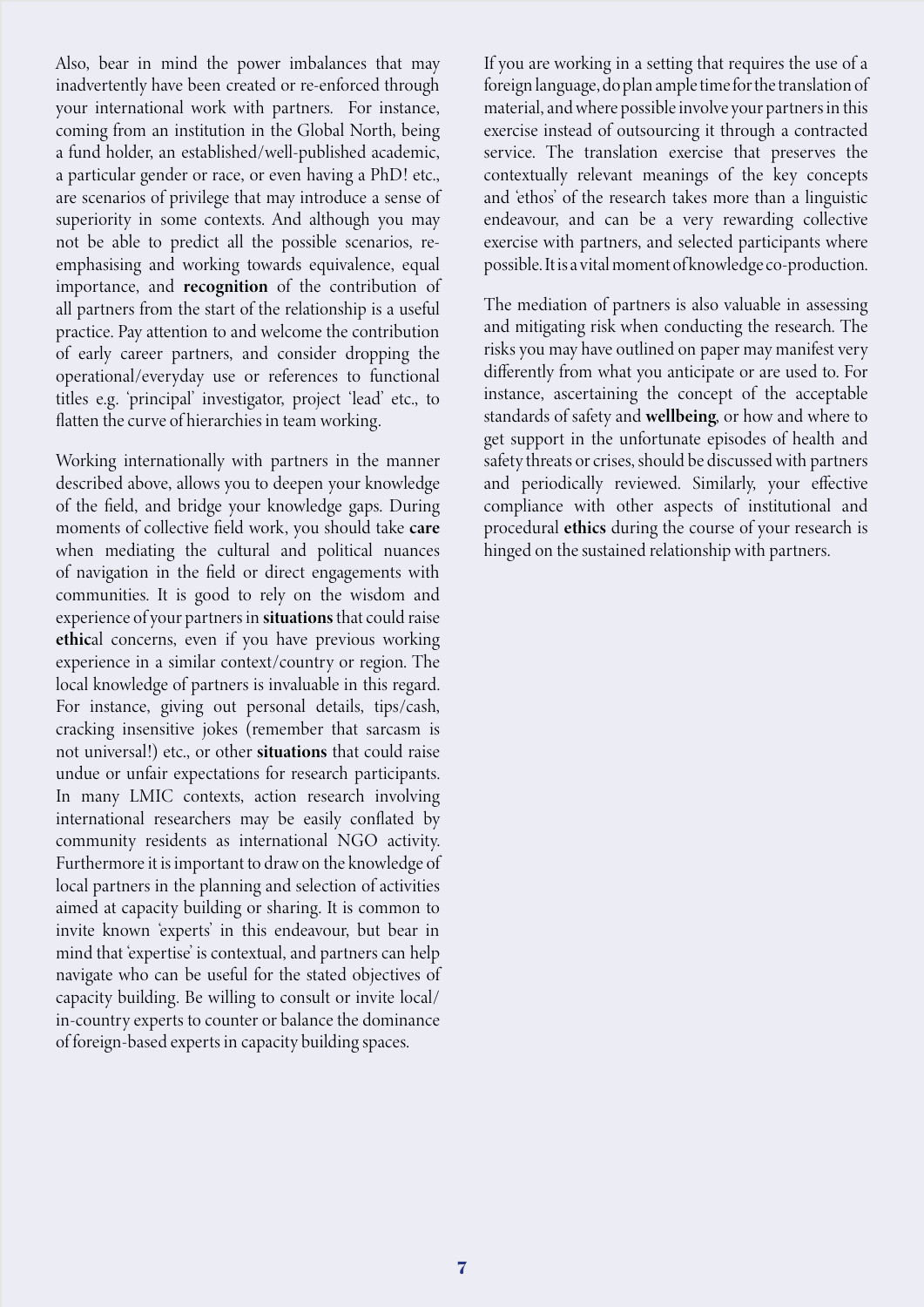Also, bear in mind the power imbalances that may inadvertently have been created or re-enforced through your international work with partners. For instance, coming from an institution in the Global North, being a fund holder, an established/well-published academic, a particular gender or race, or even having a PhD! etc., are scenarios of privilege that may introduce a sense of superiority in some contexts. And although you may not be able to predict all the possible scenarios, reemphasising and working towards equivalence, equal importance, and recognition of the contribution of all partners from the start of the relationship is a useful practice. Pay attention to and welcome the contribution of early career partners, and consider dropping the operational/everyday use or references to functional titles e.g. 'principal' investigator, project 'lead' etc., to flatten the curve of hierarchies in team working.

Working internationally with partners in the manner described above, allows you to deepen your knowledge of the field, and bridge your knowledge gaps. During moments of collective field work, you should take care when mediating the cultural and political nuances of navigation in the field or direct engagements with communities. It is good to rely on the wisdom and experience of your partners in situations that could raise ethical concerns, even if you have previous working experience in a similar context/country or region. The local knowledge of partners is invaluable in this regard. For instance, giving out personal details, tips/cash, cracking insensitive jokes (remember that sarcasm is not universal!) etc., or other situations that could raise undue or unfair expectations for research participants. In many LMIC contexts, action research involving international researchers may be easily conflated by community residents as international NGO activity. Furthermore it is important to draw on the knowledge of local partners in the planning and selection of activities aimed at capacity building or sharing. It is common to invite known 'experts' in this endeavour, but bear in mind that 'expertise' is contextual, and partners can help navigate who can be useful for the stated objectives of capacity building. Be willing to consult or invite local/ in-country experts to counter or balance the dominance of foreign-based experts in capacity building spaces.

If you are working in a setting that requires the use of a foreign language, do plan ample time for the translation of material, and where possible involve your partners in this exercise instead of outsourcing it through a contracted service. The translation exercise that preserves the contextually relevant meanings of the key concepts and 'ethos' of the research takes more than a linguistic endeavour, and can be a very rewarding collective exercise with partners, and selected participants where possible. It is a vital moment of knowledge co-production.

The mediation of partners is also valuable in assessing and mitigating risk when conducting the research. The risks you may have outlined on paper may manifest very differently from what you anticipate or are used to. For instance, ascertaining the concept of the acceptable standards of safety and wellbeing, or how and where to get support in the unfortunate episodes of health and safety threats or crises, should be discussed with partners and periodically reviewed. Similarly, your effective compliance with other aspects of institutional and procedural ethics during the course of your research is hinged on the sustained relationship with partners.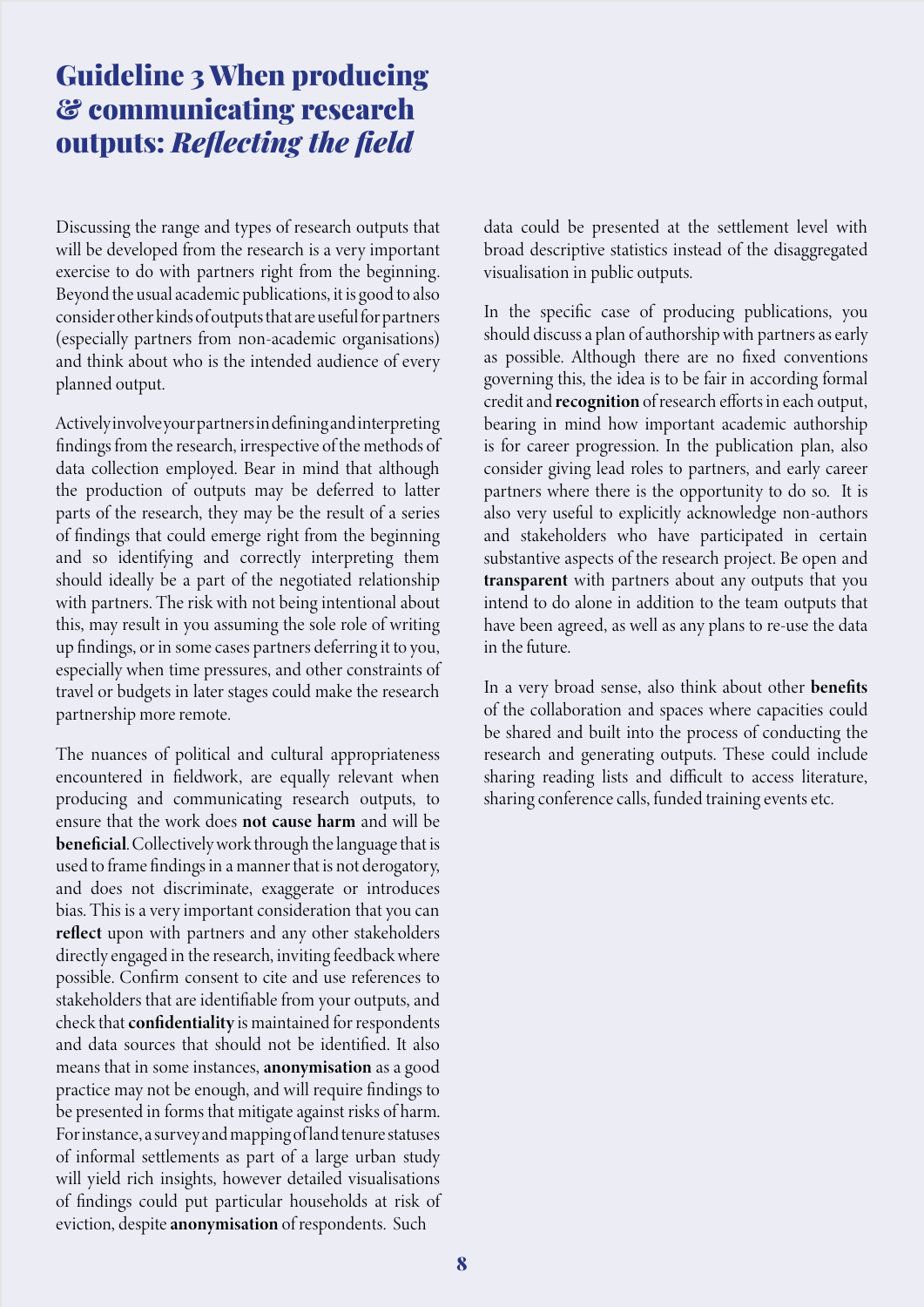## Guideline 3 When producing & communicating research outputs: *Reflecting the field*

Discussing the range and types of research outputs that will be developed from the research is a very important exercise to do with partners right from the beginning. Beyond the usual academic publications, it is good to also consider other kinds of outputs that are useful for partners (especially partners from non-academic organisations) and think about who is the intended audience of every planned output.

Actively involve your partners in defining and interpreting findings from the research, irrespective of the methods of data collection employed. Bear in mind that although the production of outputs may be deferred to latter parts of the research, they may be the result of a series of findings that could emerge right from the beginning and so identifying and correctly interpreting them should ideally be a part of the negotiated relationship with partners. The risk with not being intentional about this, may result in you assuming the sole role of writing up findings, or in some cases partners deferring it to you, especially when time pressures, and other constraints of travel or budgets in later stages could make the research partnership more remote.

The nuances of political and cultural appropriateness encountered in fieldwork, are equally relevant when producing and communicating research outputs, to ensure that the work does not cause harm and will be beneficial. Collectively work through the language that is used to frame findings in a manner that is not derogatory, and does not discriminate, exaggerate or introduces bias. This is a very important consideration that you can reflect upon with partners and any other stakeholders directly engaged in the research, inviting feedback where possible. Confirm consent to cite and use references to stakeholders that are identifiable from your outputs, and check that confidentiality is maintained for respondents and data sources that should not be identified. It also means that in some instances, anonymisation as a good practice may not be enough, and will require findings to be presented in forms that mitigate against risks of harm. For instance, a survey and mapping of land tenure statuses of informal settlements as part of a large urban study will yield rich insights, however detailed visualisations of findings could put particular households at risk of eviction, despite anonymisation of respondents. Such

data could be presented at the settlement level with broad descriptive statistics instead of the disaggregated visualisation in public outputs.

In the specific case of producing publications, you should discuss a plan of authorship with partners as early as possible. Although there are no fixed conventions governing this, the idea is to be fair in according formal credit and recognition of research efforts in each output, bearing in mind how important academic authorship is for career progression. In the publication plan, also consider giving lead roles to partners, and early career partners where there is the opportunity to do so. It is also very useful to explicitly acknowledge non-authors and stakeholders who have participated in certain substantive aspects of the research project. Be open and transparent with partners about any outputs that you intend to do alone in addition to the team outputs that have been agreed, as well as any plans to re-use the data in the future.

In a very broad sense, also think about other benefits of the collaboration and spaces where capacities could be shared and built into the process of conducting the research and generating outputs. These could include sharing reading lists and difficult to access literature, sharing conference calls, funded training events etc.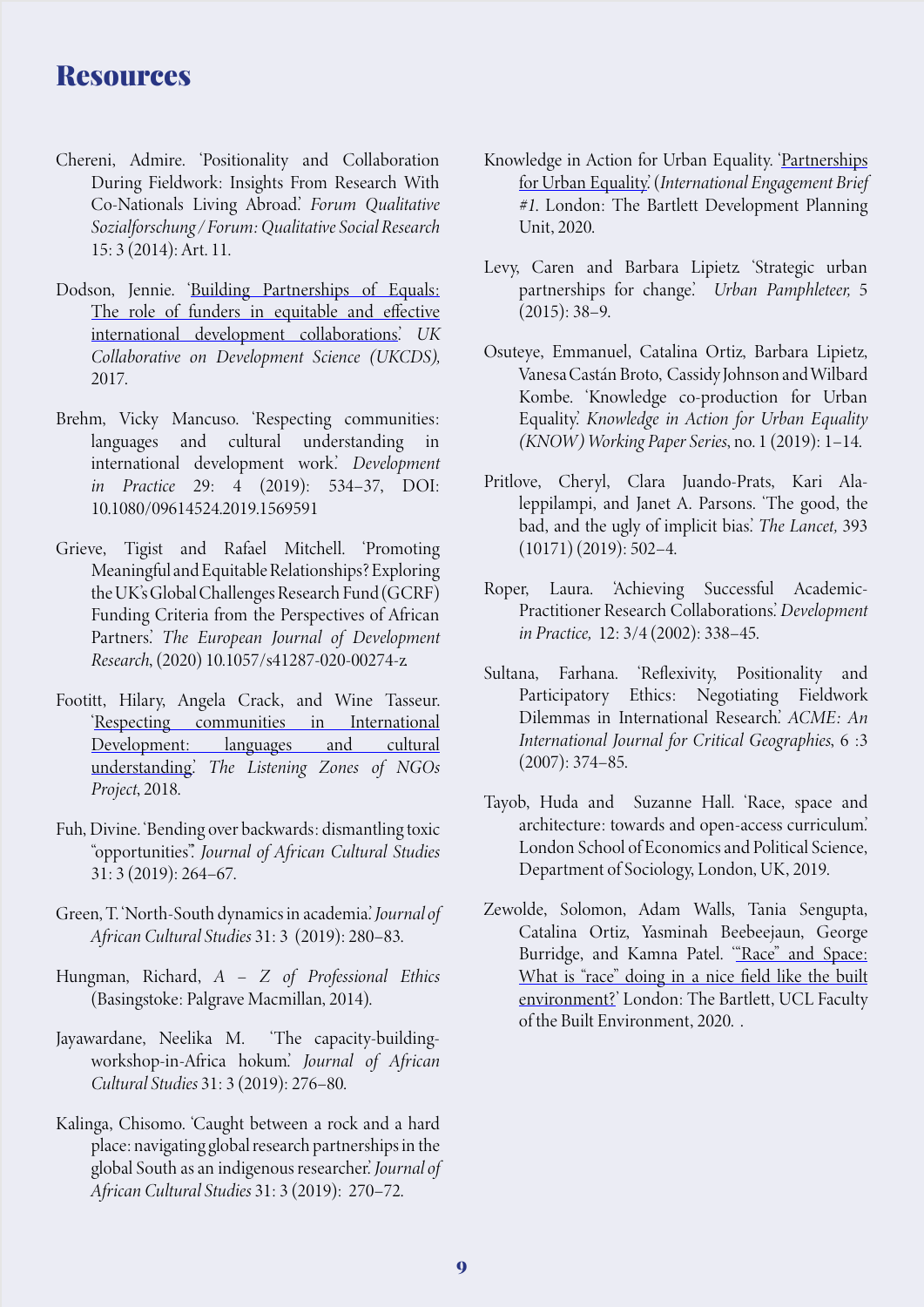### **Resources**

- Chereni, Admire. 'Positionality and Collaboration During Fieldwork: Insights From Research With Co-Nationals Living Abroad.' *Forum Qualitative Sozialforschung / Forum: Qualitative Social Research* 15: 3 (2014): Art. 11.
- Dodson, Jennie. '[Building Partnerships of Equals:](https://www.ukcdr.org.uk/wp-content/uploads/2017/11/Building-Partnerships-of-Equals_-REPORT-2.pdf) [The role of funders in equitable and effective](https://www.ukcdr.org.uk/wp-content/uploads/2017/11/Building-Partnerships-of-Equals_-REPORT-2.pdf) [international development collaborations.'](https://www.ukcdr.org.uk/wp-content/uploads/2017/11/Building-Partnerships-of-Equals_-REPORT-2.pdf) *UK Collaborative on Development Science (UKCDS),*  2017.
- Brehm, Vicky Mancuso. 'Respecting communities: languages and cultural understanding in international development work.' *Development in Practice* 29: 4 (2019): 534–37, DOI: 10.1080/09614524.2019.1569591
- Grieve, Tigist and Rafael Mitchell. 'Promoting Meaningful and Equitable Relationships? Exploring the UK's Global Challenges Research Fund (GCRF) Funding Criteria from the Perspectives of African Partners.' *The European Journal of Development Research*, (2020) 10.1057/s41287-020-00274-z.
- Footitt, Hilary, Angela Crack, and Wine Tasseur. '[Respecting communities in International](https://www.reading.ac.uk/web/files/modern-languages-and-european-studies/Listening_zones_report_-EN.pdf
) [Development: languages and cultural](https://www.reading.ac.uk/web/files/modern-languages-and-european-studies/Listening_zones_report_-EN.pdf
) [understanding.](https://www.reading.ac.uk/web/files/modern-languages-and-european-studies/Listening_zones_report_-EN.pdf
)' *The Listening Zones of NGOs Project*, 2018.
- Fuh, Divine. 'Bending over backwards: dismantling toxic "opportunities".' *Journal of African Cultural Studies* 31: 3 (2019): 264–67.
- Green, T. 'North-South dynamics in academia.' *Journal of African Cultural Studies* 31: 3 (2019): 280–83.
- Hungman, Richard, *A Z of Professional Ethics* (Basingstoke: Palgrave Macmillan, 2014).
- Jayawardane, Neelika M. 'The capacity-buildingworkshop-in-Africa hokum.' *Journal of African Cultural Studies* 31: 3 (2019): 276–80.
- Kalinga, Chisomo. 'Caught between a rock and a hard place: navigating global research partnerships in the global South as an indigenous researcher.' *Journal of African Cultural Studies* 31: 3 (2019): 270–72.
- Knowledge in Action for Urban Equality. ['Partnerships](https://www.urban-know.com/international-engagement-brief-1) [for Urban Equality](https://www.urban-know.com/international-engagement-brief-1).' (*International Engagement Brief #1*. London: The Bartlett Development Planning Unit, 2020.
- Levy, Caren and Barbara Lipietz. 'Strategic urban partnerships for change.' *Urban Pamphleteer,* 5  $(2015): 38-9.$
- Osuteye, Emmanuel, Catalina Ortiz, Barbara Lipietz, Vanesa Castán Broto, Cassidy Johnson and Wilbard Kombe. 'Knowledge co-production for Urban Equality.' *Knowledge in Action for Urban Equality (KNOW ) Working Paper Series*, no. 1 (2019): 1–14.
- Pritlove, Cheryl, Clara Juando-Prats, Kari Alaleppilampi, and Janet A. Parsons. 'The good, the bad, and the ugly of implicit bias.' *The Lancet,* 393  $(10171) (2019): 502 - 4.$
- Roper, Laura. 'Achieving Successful Academic-Practitioner Research Collaborations.' *Development in Practice,* 12: 3/4 (2002): 338–45.
- Sultana, Farhana. 'Reflexivity, Positionality and Participatory Ethics: Negotiating Fieldwork Dilemmas in International Research.' *ACME: An International Journal for Critical Geographies*, 6 :3 (2007): 374–85.
- Tayob, Huda and Suzanne Hall. 'Race, space and architecture: towards and open-access curriculum.' London School of Economics and Political Science, Department of Sociology, London, UK, 2019.
- Zewolde, Solomon, Adam Walls, Tania Sengupta, Catalina Ortiz, Yasminah Beebeejaun, George Burridge, and Kamna Patel. "[Race" and Space:](https://www.ucl.ac.uk/bartlett/about-us/our-values/equality-diversity-and-inclusion/race-and-space) [What is "race" doing in a nice field like the built](https://www.ucl.ac.uk/bartlett/about-us/our-values/equality-diversity-and-inclusion/race-and-space) [environment?](https://www.ucl.ac.uk/bartlett/about-us/our-values/equality-diversity-and-inclusion/race-and-space)' London: The Bartlett, UCL Faculty of the Built Environment, 2020. .